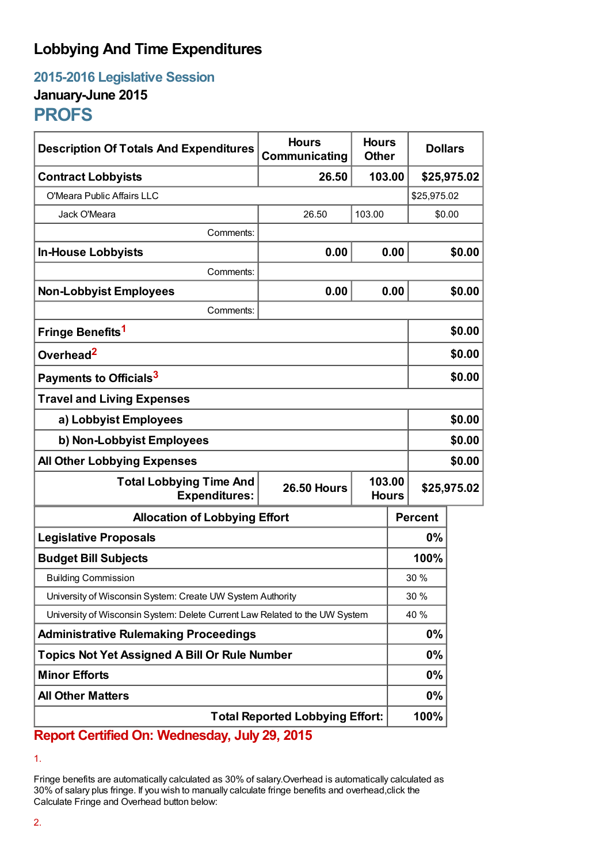## **Lobbying And Time Expenditures**

**2015-2016 Legislative Session January-June 2015**

## **PROFS**

| <b>Description Of Totals And Expenditures</b>                               | <b>Hours</b><br>Communicating | <b>Hours</b><br><b>Other</b> |      | <b>Dollars</b> |             |
|-----------------------------------------------------------------------------|-------------------------------|------------------------------|------|----------------|-------------|
| <b>Contract Lobbyists</b>                                                   | 26.50                         | 103.00                       |      |                | \$25,975.02 |
| O'Meara Public Affairs LLC                                                  |                               |                              |      | \$25,975.02    |             |
| Jack O'Meara                                                                | 26.50                         | 103.00                       |      | \$0.00         |             |
| Comments:                                                                   |                               |                              |      |                |             |
| <b>In-House Lobbyists</b>                                                   | 0.00                          |                              | 0.00 |                | \$0.00      |
| Comments:                                                                   |                               |                              |      |                |             |
| <b>Non-Lobbyist Employees</b>                                               | 0.00                          |                              | 0.00 |                | \$0.00      |
| Comments:                                                                   |                               |                              |      |                |             |
| Fringe Benefits <sup>1</sup>                                                |                               |                              |      |                | \$0.00      |
| Overhead <sup>2</sup>                                                       |                               |                              |      | \$0.00         |             |
| Payments to Officials <sup>3</sup>                                          |                               |                              |      | \$0.00         |             |
| <b>Travel and Living Expenses</b>                                           |                               |                              |      |                |             |
| a) Lobbyist Employees                                                       |                               |                              |      | \$0.00         |             |
| b) Non-Lobbyist Employees                                                   |                               |                              |      | \$0.00         |             |
| <b>All Other Lobbying Expenses</b>                                          |                               |                              |      |                | \$0.00      |
| <b>Total Lobbying Time And</b><br><b>Expenditures:</b>                      | <b>26.50 Hours</b>            | 103.00<br><b>Hours</b>       |      | \$25,975.02    |             |
| <b>Allocation of Lobbying Effort</b>                                        |                               |                              |      | <b>Percent</b> |             |
| <b>Legislative Proposals</b>                                                |                               |                              | 0%   |                |             |
| <b>Budget Bill Subjects</b>                                                 |                               |                              | 100% |                |             |
| <b>Building Commission</b>                                                  |                               |                              | 30%  |                |             |
| University of Wisconsin System: Create UW System Authority                  |                               |                              | 30 % |                |             |
| University of Wisconsin System: Delete Current Law Related to the UW System |                               |                              | 40 % |                |             |
| <b>Administrative Rulemaking Proceedings</b>                                |                               |                              | 0%   |                |             |
| <b>Topics Not Yet Assigned A Bill Or Rule Number</b>                        |                               |                              | 0%   |                |             |
| <b>Minor Efforts</b>                                                        |                               |                              |      | $0\%$          |             |
| <b>All Other Matters</b>                                                    |                               |                              |      | $0\%$          |             |
| <b>Total Reported Lobbying Effort:</b>                                      |                               |                              |      | 100%           |             |

**Report Certified On: Wednesday, July 29, 2015**

<sup>1.</sup>

Fringe benefits are automatically calculated as 30% of salary.Overhead is automatically calculated as 30% of salary plus fringe. If you wish to manually calculate fringe benefits and overhead,click the Calculate Fringe and Overhead button below: